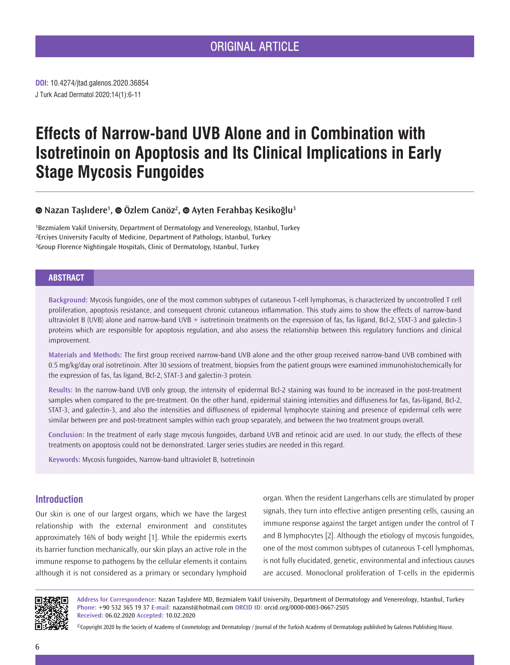# ORIGINAL ARTICLE

J Turk Acad Dermatol 2020;14(1):6-11 **DOI:** 10.4274/jtad.galenos.2020.36854

# **Effects of Narrow-band UVB Alone and in Combination with Isotretinoin on Apoptosis and Its Clinical Implications in Early Stage Mycosis Fungoides**

# **Nazan Taşlıdere1 ,Özlem Canöz<sup>2</sup> ,Ayten Ferahbaş Kesikoğlu<sup>3</sup>**

1Bezmialem Vakif University, Department of Dermatology and Venereology, Istanbul, Turkey 2Erciyes University Faculty of Medicine, Department of Pathology, Istanbul, Turkey 3Group Florence Nightingale Hospitals, Clinic of Dermatology, Istanbul, Turkey

## **ABSTRACT**

**Background:** Mycosis fungoides, one of the most common subtypes of cutaneous T-cell lymphomas, is characterized by uncontrolled T cell proliferation, apoptosis resistance, and consequent chronic cutaneous inflammation. This study aims to show the effects of narrow-band ultraviolet B (UVB) alone and narrow-band UVB + isotretinoin treatments on the expression of fas, fas ligand, Bcl-2, STAT-3 and galectin-3 proteins which are responsible for apoptosis regulation, and also assess the relationship between this regulatory functions and clinical improvement.

**Materials and Methods:** The first group received narrow-band UVB alone and the other group received narrow-band UVB combined with 0.5 mg/kg/day oral isotretinoin. After 30 sessions of treatment, biopsies from the patient groups were examined immunohistochemically for the expression of fas, fas ligand, Bcl-2, STAT-3 and galectin-3 protein.

**Results:** In the narrow-band UVB only group, the intensity of epidermal Bcl-2 staining was found to be increased in the post-treatment samples when compared to the pre-treatment. On the other hand, epidermal staining intensities and diffuseness for fas, fas-ligand, Bcl-2, STAT-3, and galectin-3, and also the intensities and diffuseness of epidermal lymphocyte staining and presence of epidermal cells were similar between pre and post-treatment samples within each group separately, and between the two treatment groups overall.

**Conclusion:** In the treatment of early stage mycosis fungoides, darband UVB and retinoic acid are used. In our study, the effects of these treatments on apoptosis could not be demonstrated. Larger series studies are needed in this regard.

**Keywords:** Mycosis fungoides, Narrow-band ultraviolet B, Isotretinoin

# **Introduction**

Our skin is one of our largest organs, which we have the largest relationship with the external environment and constitutes approximately 16% of body weight [1]. While the epidermis exerts its barrier function mechanically, our skin plays an active role in the immune response to pathogens by the cellular elements it contains although it is not considered as a primary or secondary lymphoid

organ. When the resident Langerhans cells are stimulated by proper signals, they turn into effective antigen presenting cells, causing an immune response against the target antigen under the control of T and B lymphocytes [2]. Although the etiology of mycosis fungoides, one of the most common subtypes of cutaneous T-cell lymphomas, is not fully elucidated, genetic, environmental and infectious causes are accused. Monoclonal proliferation of T-cells in the epidermis



**Address for Correspondence:** Nazan Taşlıdere MD, Bezmialem Vakif University, Department of Dermatology and Venereology, Istanbul, Turkey **Phone:** +90 532 365 19 37 **E-mail:** nazanst@hotmail.com **ORCID ID:** orcid.org/0000-0003-0667-2505 **Received:** 06.02.2020 **Accepted:** 10.02.2020

©Copyright 2020 by the Society of Academy of Cosmetology and Dermatology / Journal of the Turkish Academy of Dermatology published by Galenos Publishing House.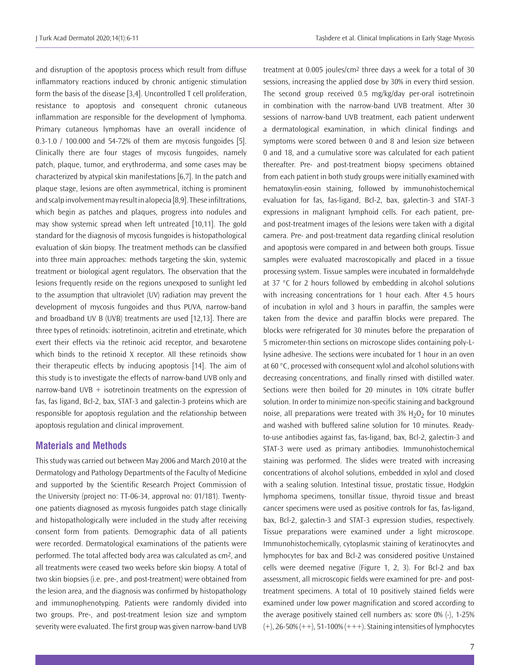and disruption of the apoptosis process which result from diffuse inflammatory reactions induced by chronic antigenic stimulation form the basis of the disease [3,4]. Uncontrolled T cell proliferation, resistance to apoptosis and consequent chronic cutaneous inflammation are responsible for the development of lymphoma. Primary cutaneous lymphomas have an overall incidence of 0.3-1.0 / 100.000 and 54-72% of them are mycosis fungoides [5]. Clinically there are four stages of mycosis fungoides, namely patch, plaque, tumor, and erythroderma, and some cases may be characterized by atypical skin manifestations [6,7]. In the patch and plaque stage, lesions are often asymmetrical, itching is prominent and scalp involvement may result in alopecia [8,9]. These infiltrations, which begin as patches and plaques, progress into nodules and may show systemic spread when left untreated [10,11]. The gold standard for the diagnosis of mycosis fungoides is histopathological evaluation of skin biopsy. The treatment methods can be classified into three main approaches: methods targeting the skin, systemic treatment or biological agent regulators. The observation that the lesions frequently reside on the regions unexposed to sunlight led to the assumption that ultraviolet (UV) radiation may prevent the development of mycosis fungoides and thus PUVA, narrow-band and broadband UV B (UVB) treatments are used [12,13]. There are three types of retinoids: isotretinoin, acitretin and etretinate, which exert their effects via the retinoic acid receptor, and bexarotene which binds to the retinoid X receptor. All these retinoids show their therapeutic effects by inducing apoptosis [14]. The aim of this study is to investigate the effects of narrow-band UVB only and narrow-band UVB  $+$  isotretinoin treatments on the expression of fas, fas ligand, Bcl-2, bax, STAT-3 and galectin-3 proteins which are responsible for apoptosis regulation and the relationship between apoptosis regulation and clinical improvement.

#### **Materials and Methods**

This study was carried out between May 2006 and March 2010 at the Dermatology and Pathology Departments of the Faculty of Medicine and supported by the Scientific Research Project Commission of the University (project no: TT-06-34, approval no: 01/181). Twentyone patients diagnosed as mycosis fungoides patch stage clinically and histopathologically were included in the study after receiving consent form from patients. Demographic data of all patients were recorded. Dermatological examinations of the patients were performed. The total affected body area was calculated as cm2, and all treatments were ceased two weeks before skin biopsy. A total of two skin biopsies (i.e. pre-, and post-treatment) were obtained from the lesion area, and the diagnosis was confirmed by histopathology and immunophenotyping. Patients were randomly divided into two groups. Pre-, and post-treatment lesion size and symptom severity were evaluated. The first group was given narrow-band UVB

treatment at 0.005 joules/cm2 three days a week for a total of 30 sessions, increasing the applied dose by 30% in every third session. The second group received 0.5 mg/kg/day per-oral isotretinoin in combination with the narrow-band UVB treatment. After 30 sessions of narrow-band UVB treatment, each patient underwent a dermatological examination, in which clinical findings and symptoms were scored between 0 and 8 and lesion size between 0 and 18, and a cumulative score was calculated for each patient thereafter. Pre- and post-treatment biopsy specimens obtained from each patient in both study groups were initially examined with hematoxylin-eosin staining, followed by immunohistochemical evaluation for fas, fas-ligand, Bcl-2, bax, galectin-3 and STAT-3 expressions in malignant lymphoid cells. For each patient, preand post-treatment images of the lesions were taken with a digital camera. Pre- and post-treatment data regarding clinical resolution and apoptosis were compared in and between both groups. Tissue samples were evaluated macroscopically and placed in a tissue processing system. Tissue samples were incubated in formaldehyde at 37 °C for 2 hours followed by embedding in alcohol solutions with increasing concentrations for 1 hour each. After 4.5 hours of incubation in xylol and 3 hours in paraffin, the samples were taken from the device and paraffin blocks were prepared. The blocks were refrigerated for 30 minutes before the preparation of 5 micrometer-thin sections on microscope slides containing poly-Llysine adhesive. The sections were incubated for 1 hour in an oven at 60 °C, processed with consequent xylol and alcohol solutions with decreasing concentrations, and finally rinsed with distilled water. Sections were then boiled for 20 minutes in 10% citrate buffer solution. In order to minimize non-specific staining and background noise, all preparations were treated with 3%  $H<sub>2</sub>O<sub>2</sub>$  for 10 minutes and washed with buffered saline solution for 10 minutes. Readyto-use antibodies against fas, fas-ligand, bax, Bcl-2, galectin-3 and STAT-3 were used as primary antibodies. Immunohistochemical staining was performed. The slides were treated with increasing concentrations of alcohol solutions, embedded in xylol and closed with a sealing solution. Intestinal tissue, prostatic tissue, Hodgkin lymphoma specimens, tonsillar tissue, thyroid tissue and breast cancer specimens were used as positive controls for fas, fas-ligand, bax, Bcl-2, galectin-3 and STAT-3 expression studies, respectively. Tissue preparations were examined under a light microscope. Immunohistochemically, cytoplasmic staining of keratinocytes and lymphocytes for bax and Bcl-2 was considered positive Unstained cells were deemed negative (Figure 1, 2, 3). For Bcl-2 and bax assessment, all microscopic fields were examined for pre- and posttreatment specimens. A total of 10 positively stained fields were examined under low power magnification and scored according to the average positively stained cell numbers as: score 0% (-), 1-25%  $(+)$ , 26-50%  $(++)$ , 51-100%  $(++)$ . Staining intensities of lymphocytes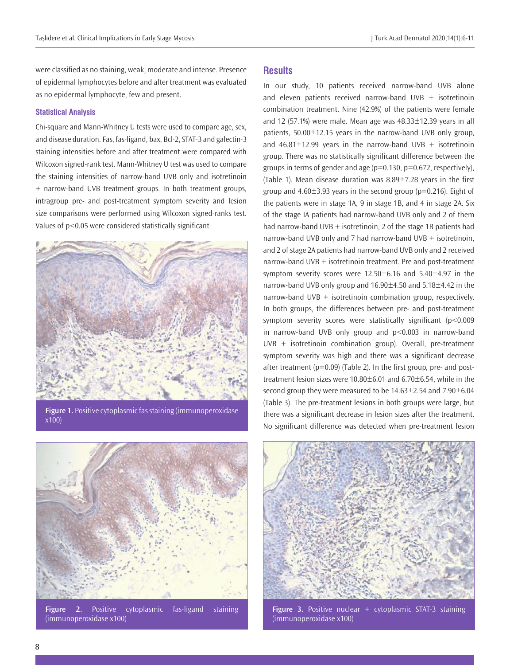were classified as no staining, weak, moderate and intense. Presence of epidermal lymphocytes before and after treatment was evaluated as no epidermal lymphocyte, few and present.

#### **Statistical Analysis**

Chi-square and Mann-Whitney U tests were used to compare age, sex, and disease duration. Fas, fas-ligand, bax, Bcl-2, STAT-3 and galectin-3 staining intensities before and after treatment were compared with Wilcoxon signed-rank test. Mann-Whitney U test was used to compare the staining intensities of narrow-band UVB only and isotretinoin + narrow-band UVB treatment groups. In both treatment groups, intragroup pre- and post-treatment symptom severity and lesion size comparisons were performed using Wilcoxon signed-ranks test. Values of p<0.05 were considered statistically significant.



**Figure 1.** Positive cytoplasmic fas staining (immunoperoxidase x100)



**Figure 2.** Positive cytoplasmic fas-ligand staining (immunoperoxidase x100)

## **Results**

In our study, 10 patients received narrow-band UVB alone and eleven patients received narrow-band UVB  $+$  isotretinoin combination treatment. Nine (42.9%) of the patients were female and 12 (57.1%) were male. Mean age was  $48.33 \pm 12.39$  years in all patients, 50.00±12.15 years in the narrow-band UVB only group, and  $46.81 \pm 12.99$  years in the narrow-band UVB + isotretinoin group. There was no statistically significant difference between the groups in terms of gender and age  $(p=0.130, p=0.672,$  respectively), (Table 1). Mean disease duration was 8.89±7.28 years in the first group and  $4.60\pm3.93$  years in the second group ( $p=0.216$ ). Eight of the patients were in stage 1A, 9 in stage 1B, and 4 in stage 2A. Six of the stage IA patients had narrow-band UVB only and 2 of them had narrow-band UVB  $+$  isotretinoin, 2 of the stage 1B patients had narrow-band UVB only and 7 had narrow-band UVB + isotretinoin, and 2 of stage 2A patients had narrow-band UVB only and 2 received narrow-band UVB + isotretinoin treatment. Pre and post-treatment symptom severity scores were 12.50±6.16 and 5.40±4.97 in the narrow-band UVB only group and 16.90±4.50 and 5.18±4.42 in the narrow-band UVB + isotretinoin combination group, respectively. In both groups, the differences between pre- and post-treatment symptom severity scores were statistically significant (p<0.009 in narrow-band UVB only group and p<0.003 in narrow-band UVB + isotretinoin combination group). Overall, pre-treatment symptom severity was high and there was a significant decrease after treatment  $(p=0.09)$  (Table 2). In the first group, pre- and posttreatment lesion sizes were 10.80±6.01 and 6.70±6.54, while in the second group they were measured to be 14.63±2.54 and 7.90±6.04 (Table 3). The pre-treatment lesions in both groups were large, but there was a significant decrease in lesion sizes after the treatment. No significant difference was detected when pre-treatment lesion



**Figure 3.** Positive nuclear + cytoplasmic STAT-3 staining (immunoperoxidase x100)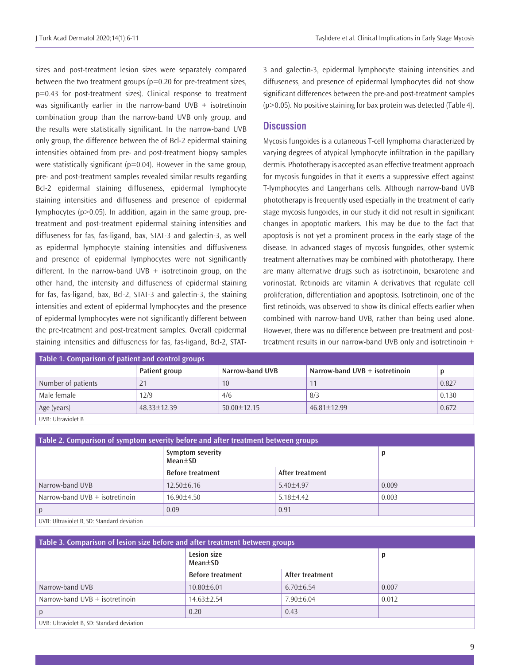sizes and post-treatment lesion sizes were separately compared between the two treatment groups (p=0.20 for pre-treatment sizes, p=0.43 for post-treatment sizes). Clinical response to treatment was significantly earlier in the narrow-band  $UVB +$  isotretinoin combination group than the narrow-band UVB only group, and the results were statistically significant. In the narrow-band UVB only group, the difference between the of Bcl-2 epidermal staining intensities obtained from pre- and post-treatment biopsy samples were statistically significant ( $p=0.04$ ). However in the same group, pre- and post-treatment samples revealed similar results regarding Bcl-2 epidermal staining diffuseness, epidermal lymphocyte staining intensities and diffuseness and presence of epidermal lymphocytes (p>0.05). In addition, again in the same group, pretreatment and post-treatment epidermal staining intensities and diffuseness for fas, fas-ligand, bax, STAT-3 and galectin-3, as well as epidermal lymphocyte staining intensities and diffusiveness and presence of epidermal lymphocytes were not significantly different. In the narrow-band UVB  $+$  isotretinoin group, on the other hand, the intensity and diffuseness of epidermal staining for fas, fas-ligand, bax, Bcl-2, STAT-3 and galectin-3, the staining intensities and extent of epidermal lymphocytes and the presence of epidermal lymphocytes were not significantly different between the pre-treatment and post-treatment samples. Overall epidermal staining intensities and diffuseness for fas, fas-ligand, Bcl-2, STAT-

3 and galectin-3, epidermal lymphocyte staining intensities and diffuseness, and presence of epidermal lymphocytes did not show significant differences between the pre-and post-treatment samples  $(p>0.05)$ . No positive staining for bax protein was detected (Table 4).

#### **Discussion**

Mycosis fungoides is a cutaneous T-cell lymphoma characterized by varying degrees of atypical lymphocyte infiltration in the papillary dermis. Phototherapy is accepted as an effective treatment approach for mycosis fungoides in that it exerts a suppressive effect against T-lymphocytes and Langerhans cells. Although narrow-band UVB phototherapy is frequently used especially in the treatment of early stage mycosis fungoides, in our study it did not result in significant changes in apoptotic markers. This may be due to the fact that apoptosis is not yet a prominent process in the early stage of the disease. In advanced stages of mycosis fungoides, other systemic treatment alternatives may be combined with phototherapy. There are many alternative drugs such as isotretinoin, bexarotene and vorinostat. Retinoids are vitamin A derivatives that regulate cell proliferation, differentiation and apoptosis. Isotretinoin, one of the first retinoids, was observed to show its clinical effects earlier when combined with narrow-band UVB, rather than being used alone. However, there was no difference between pre-treatment and posttreatment results in our narrow-band UVB only and isotretinoin +

| Table 1. Comparison of patient and control groups |                 |                 |                                  |       |  |  |
|---------------------------------------------------|-----------------|-----------------|----------------------------------|-------|--|--|
|                                                   | Patient group   | Narrow-band UVB | Narrow-band UVB $+$ isotretinoin |       |  |  |
| Number of patients                                | 21              | 10              |                                  | 0.827 |  |  |
| Male female                                       | 12/9            | 4/6             | 8/3                              | 0.130 |  |  |
| Age (years)                                       | $48.33 + 12.39$ | $50.00 + 12.15$ | $46.81 + 12.99$                  | 0.672 |  |  |
| UVB: Ultraviolet B                                |                 |                 |                                  |       |  |  |

| Table 2. Comparison of symptom severity before and after treatment between groups |                             |                 |       |  |  |
|-----------------------------------------------------------------------------------|-----------------------------|-----------------|-------|--|--|
|                                                                                   | Symptom severity<br>Mean±SD |                 | D     |  |  |
|                                                                                   | <b>Before treatment</b>     | After treatment |       |  |  |
| Narrow-band UVB                                                                   | $12.50 \pm 6.16$            | $5.40 + 4.97$   | 0.009 |  |  |
| Narrow-band UVB $+$ isotretinoin                                                  | $16.90 + 4.50$              | $5.18 + 4.42$   | 0.003 |  |  |
|                                                                                   | 0.09                        | 0.91            |       |  |  |
| LIVR: Liltraviolet R. SD: Standard deviation                                      |                             |                 |       |  |  |

UVB: Ultraviolet B, SD: Standard deviation

| Table 3. Comparison of lesion size before and after treatment between groups |                         |                 |       |  |  |
|------------------------------------------------------------------------------|-------------------------|-----------------|-------|--|--|
|                                                                              | Lesion size<br>Mean±SD  |                 | р     |  |  |
|                                                                              | <b>Before treatment</b> | After treatment |       |  |  |
| Narrow-band UVB                                                              | $10.80 + 6.01$          | $6.70 + 6.54$   | 0.007 |  |  |
| Narrow-band $UVB + isotretinoin$                                             | $14.63 + 2.54$          | $7.90 + 6.04$   | 0.012 |  |  |
|                                                                              | 0.20                    | 0.43            |       |  |  |
| UVB: Ultraviolet B, SD: Standard deviation                                   |                         |                 |       |  |  |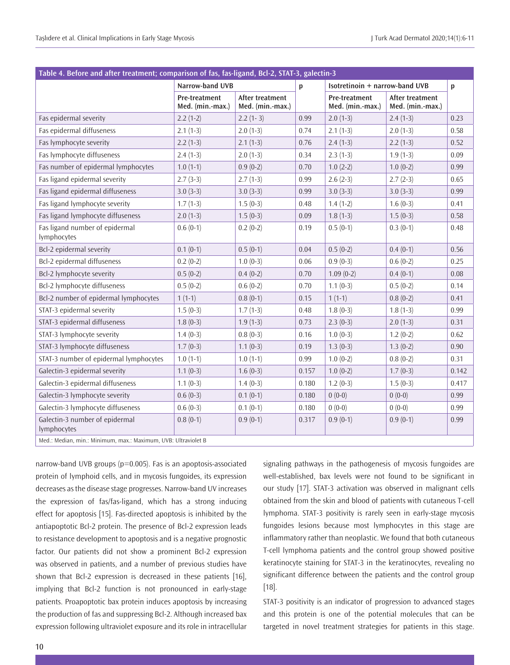|                                               | Narrow-band UVB                          |                                     | $\mathbf{p}$ |                                          | Isotretinoin + narrow-band UVB      |       |
|-----------------------------------------------|------------------------------------------|-------------------------------------|--------------|------------------------------------------|-------------------------------------|-------|
|                                               | <b>Pre-treatment</b><br>Med. (min.-max.) | After treatment<br>Med. (min.-max.) |              | <b>Pre-treatment</b><br>Med. (min.-max.) | After treatment<br>Med. (min.-max.) |       |
| Fas epidermal severity                        | $2.2(1-2)$                               | $2.2(1-3)$                          | 0.99         | $2.0(1-3)$                               | $2.4(1-3)$                          | 0.23  |
| Fas epidermal diffuseness                     | $2.1(1-3)$                               | $2.0(1-3)$                          | 0.74         | $2.1(1-3)$                               | $2.0(1-3)$                          | 0.58  |
| Fas lymphocyte severity                       | $2.2(1-3)$                               | $2.1(1-3)$                          | 0.76         | $2.4(1-3)$                               | $2.2(1-3)$                          | 0.52  |
| Fas lymphocyte diffuseness                    | $2.4(1-3)$                               | $2.0(1-3)$                          | 0.34         | $2.3(1-3)$                               | $1.9(1-3)$                          | 0.09  |
| Fas number of epidermal lymphocytes           | $1.0(1-1)$                               | $0.9(0-2)$                          | 0.70         | $1.0(2-2)$                               | $1.0(0-2)$                          | 0.99  |
| Fas ligand epidermal severity                 | $2.7(3-3)$                               | $2.7(1-3)$                          | 0.99         | $2.6(2-3)$                               | $2.7(2-3)$                          | 0.65  |
| Fas ligand epidermal diffuseness              | $3.0(3-3)$                               | $3.0(3-3)$                          | 0.99         | $3.0(3-3)$                               | $3.0(3-3)$                          | 0.99  |
| Fas ligand lymphocyte severity                | $1.7(1-3)$                               | $1.5(0-3)$                          | 0.48         | $1.4(1-2)$                               | $1.6(0-3)$                          | 0.41  |
| Fas ligand lymphocyte diffuseness             | $2.0(1-3)$                               | $1.5(0-3)$                          | 0.09         | $1.8(1-3)$                               | $1.5(0-3)$                          | 0.58  |
| Fas ligand number of epidermal<br>lymphocytes | $0.6(0-1)$                               | $0.2(0-2)$                          | 0.19         | $0.5(0-1)$                               | $0.3(0-1)$                          | 0.48  |
| Bcl-2 epidermal severity                      | $0.1(0-1)$                               | $0.5(0-1)$                          | 0.04         | $0.5(0-2)$                               | $0.4(0-1)$                          | 0.56  |
| Bcl-2 epidermal diffuseness                   | $0.2(0-2)$                               | $1.0(0-3)$                          | 0.06         | $0.9(0-3)$                               | $0.6(0-2)$                          | 0.25  |
| Bcl-2 lymphocyte severity                     | $0.5(0-2)$                               | $0.4(0-2)$                          | 0.70         | $1.09(0-2)$                              | $0.4(0-1)$                          | 0.08  |
| Bcl-2 lymphocyte diffuseness                  | $0.5(0-2)$                               | $0.6(0-2)$                          | 0.70         | $1.1(0-3)$                               | $0.5(0-2)$                          | 0.14  |
| Bcl-2 number of epidermal lymphocytes         | $1(1-1)$                                 | $0.8(0-1)$                          | 0.15         | $1(1-1)$                                 | $0.8(0-2)$                          | 0.41  |
| STAT-3 epidermal severity                     | $1.5(0-3)$                               | $1.7(1-3)$                          | 0.48         | $1.8(0-3)$                               | $1.8(1-3)$                          | 0.99  |
| STAT-3 epidermal diffuseness                  | $1.8(0-3)$                               | $1.9(1-3)$                          | 0.73         | $2.3(0-3)$                               | $2.0(1-3)$                          | 0.31  |
| STAT-3 lymphocyte severity                    | $1.4(0-3)$                               | $0.8(0-3)$                          | 0.16         | $1.0(0-3)$                               | $1.2(0-2)$                          | 0.62  |
| STAT-3 lymphocyte diffuseness                 | $1.7(0-3)$                               | $1.1(0-3)$                          | 0.19         | $1.3(0-3)$                               | $1.3(0-2)$                          | 0.90  |
| STAT-3 number of epidermal lymphocytes        | $1.0(1-1)$                               | $1.0(1-1)$                          | 0.99         | $1.0(0-2)$                               | $0.8(0-2)$                          | 0.31  |
| Galectin-3 epidermal severity                 | $1.1(0-3)$                               | $1.6(0-3)$                          | 0.157        | $1.0(0-2)$                               | $1.7(0-3)$                          | 0.142 |
| Galectin-3 epidermal diffuseness              | $1.1(0-3)$                               | $1.4(0-3)$                          | 0.180        | $1.2(0-3)$                               | $1.5(0-3)$                          | 0.417 |
| Galectin-3 lymphocyte severity                | $0.6(0-3)$                               | $0.1(0-1)$                          | 0.180        | $0(0-0)$                                 | $0(0-0)$                            | 0.99  |
| Galectin-3 lymphocyte diffuseness             | $0.6(0-3)$                               | $0.1(0-1)$                          | 0.180        | $0(0-0)$                                 | $0(0-0)$                            | 0.99  |
| Galectin-3 number of epidermal<br>lymphocytes | $0.8(0-1)$                               | $0.9(0-1)$                          | 0.317        | $0.9(0-1)$                               | $0.9(0-1)$                          | 0.99  |

narrow-band UVB groups (p=0.005). Fas is an apoptosis-associated protein of lymphoid cells, and in mycosis fungoides, its expression decreases as the disease stage progresses. Narrow-band UV increases the expression of fas/fas-ligand, which has a strong inducing effect for apoptosis [15]. Fas-directed apoptosis is inhibited by the antiapoptotic Bcl-2 protein. The presence of Bcl-2 expression leads to resistance development to apoptosis and is a negative prognostic factor. Our patients did not show a prominent Bcl-2 expression was observed in patients, and a number of previous studies have shown that Bcl-2 expression is decreased in these patients [16], implying that Bcl-2 function is not pronounced in early-stage patients. Proapoptotic bax protein induces apoptosis by increasing the production of fas and suppressing Bcl-2. Although increased bax expression following ultraviolet exposure and its role in intracellular

signaling pathways in the pathogenesis of mycosis fungoides are well-established, bax levels were not found to be significant in our study [17]. STAT-3 activation was observed in malignant cells obtained from the skin and blood of patients with cutaneous T-cell lymphoma. STAT-3 positivity is rarely seen in early-stage mycosis fungoides lesions because most lymphocytes in this stage are inflammatory rather than neoplastic. We found that both cutaneous T-cell lymphoma patients and the control group showed positive keratinocyte staining for STAT-3 in the keratinocytes, revealing no significant difference between the patients and the control group [18].

STAT-3 positivity is an indicator of progression to advanced stages and this protein is one of the potential molecules that can be targeted in novel treatment strategies for patients in this stage.